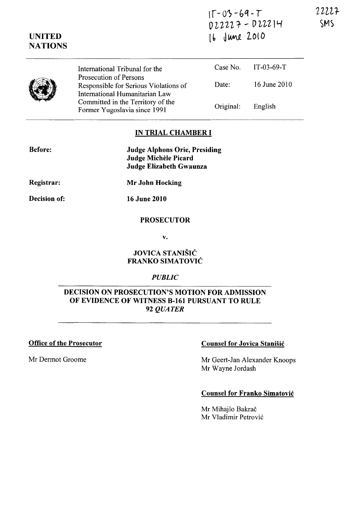| $15 - 03 - 69 - T$ |  |
|--------------------|--|
| D22227 - D22214    |  |
| $16$ June 2010     |  |

|  | International Tribunal for the<br>Prosecution of Persons                |           | Case No. IT-03-69-T |
|--|-------------------------------------------------------------------------|-----------|---------------------|
|  | Responsible for Serious Violations of<br>International Humanitarian Law | Date:     | 16 June 2010        |
|  | Committed in the Territory of the<br>Former Yugoslavia since 1991       | Original: | English             |

#### IN TRIAL CHAMBER I

Before:

UNITED **NATIONS** 

> Judge Alphons Orie, Presiding Judge Michèle Picard Judge Elizabeth Gwaunza

Registrar:

Mr John Hocking

Decision of:

16 June 2010

## PROSECUTOR

v.

### JOVICA STANISIC FRANKO SIMATOVIC

### *PUBLIC*

### DECISION ON PROSECUTION'S MOTION FOR ADMISSION OF EVIDENCE OF WITNESS B-161 PURSUANT TO RULE *92 QUATER*

Office of the Prosecutor

Mr Dermot Groome

### Counsel for Jovica Stanisic

Mr Geert-Jan Alexander Knoops Mr Wayne Jordash

#### Counsel for Franko Simatovic

Mr Mihajlo Bakrač Mr Vladimir Petrovic 22227 SMS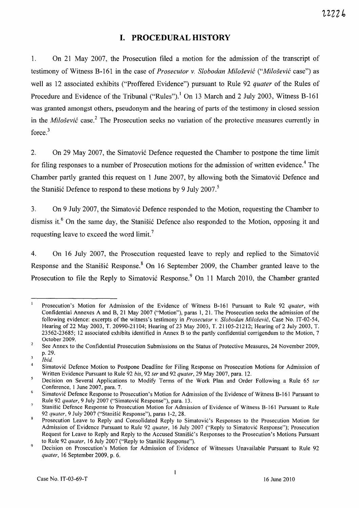# **I. PROCEDURAL HISTORY**

1. On 21 May 2007, the Prosecution filed a motion for the admission of the transcript of testimony of Witness B-I61 in the case of *Prosecutor* v. *Slobodan Milosevic ("Milosevic* case") as well as 12 associated exhibits ("Proffered Evidence") pursuant to Rule 92 *quater* of the Rules of Procedure and Evidence of the Tribunal ("Rules").<sup>1</sup> On 13 March and 2 July 2003, Witness B-161 was granted amongst others, pseudonym and the hearing of parts of the testimony in closed session in the *Milosevic* case.2 The Prosecution seeks no variation of the protective measures currently in force.<sup>3</sup>

2. On 29 May 2007, the Simatovic Defence requested the Chamber to postpone the time limit for filing responses to a number of Prosecution motions for the admission of written evidence.<sup>4</sup> The Chamber partly granted this request on 1 June 2007, by allowing both the Simatovic Defence and the Stanišić Defence to respond to these motions by 9 July 2007.<sup>5</sup>

3. On 9 July 2007, the Simatović Defence responded to the Motion, requesting the Chamber to dismiss it.<sup>6</sup> On the same day, the Stanisic Defence also responded to the Motion, opposing it and requesting leave to exceed the word limit.<sup>7</sup>

4. On 16 July 2007, the Prosecution requested leave to reply and replied to the Simatovi6 Response and the Stanisić Response.<sup>8</sup> On 16 September 2009, the Chamber granted leave to the Prosecution to file the Reply to Simatović Response.<sup>9</sup> On 11 March 2010, the Chamber granted

 $\overline{1}$ Prosecution's Motion for Admission of the Evidence of Witness 8-161 Pursuant to Rule 92 *quater,* with Confidential Annexes A and 8, 21 May 2007 ("Motion"), paras 1, 21. The Prosecution seeks the admission of the following evidence: excerpts of the witness's testimony in *Prosecutor* v. *Slobodan Milosevic,* Case No. IT-02-54, Hearing of22 May 2003, T. 20990-21104; Hearing of23 May 2003, T. 21105-21212; Hearing of2 July 2003, T. 23562-23685; 12 associated exhibits identified in Annex 8 to the partly confidential corrigendum to the Motion, 7 October 2009.  $\overline{2}$ 

See Annex to the Confidential Prosecution Submissions on the Status of Protective Measures, 24 November 2009, p.29.  $\overline{\mathbf{3}}$ 

*Ibid.* 

<sup>4</sup>  Simatovic Defence Motion to Postpone Deadline for Filing Response on Prosecution Motions for Admission of Written Evidence Pursuant to Rule 92 *bis,* 92 *ter* and 92 *quater,* 29 May 2007, para. 12.  $\overline{\mathbf{5}}$ 

<sup>6</sup>  Decision on Several Applications to Modify Terms of the Work Plan and Order Following a Rule 65 *ter*  Conference, 1 June 2007, para. 7.

Simatovic Defence Response to Prosecution's Motion for Admission of the Evidence of Witness 8-161 Pursuant to Rule 92 *quater,* 9 July 2007 ("Simatovic Response"), para. 13.

Stanišić Defence Response to Prosecution Motion for Admission of Evidence of Witness B-161 Pursuant to Rule *92 quater,* 9 July 2007 ("Stanisic Response"), paras 1-2,28.

Prosecution Leave to Reply and Consolidated Reply to Simatovic's Responses to the Prosecution Motion for Admission of Evidence Pursuant to Rule 92 *quater,* 16 July 2007 ("Reply to Simatovic Response"); Prosecution Request for Leave to Reply and Reply to the Accused Stanisic's Responses to the Prosecution's Motions Pursuant to Rule 92 *quater,* 16 July 2007 ("Reply to StaniSic Response").

<sup>9</sup>  Decision on Prosecution's Motion for Admission of Evidence of Witnesses Unavailable Pursuant to Rule 92 *quater,* 16 September 2009, p. 6.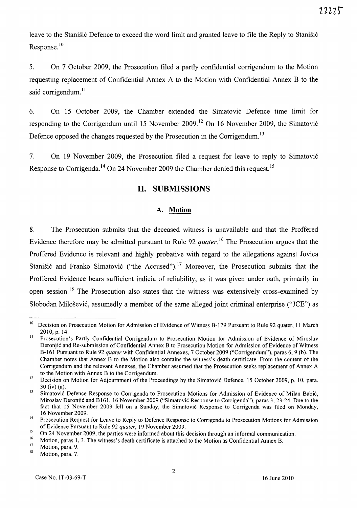leave to the Stanišić Defence to exceed the word limit and granted leave to file the Reply to Stanišić Response.<sup>10</sup>

5. On 7 October 2009, the Prosecution filed a partly confidential corrigendum to the Motion requesting replacement of Confidential Annex A to the Motion with Confidential Annex B to the said corrigendum.<sup>11</sup>

6. On 15 October 2009, the Chamber extended the Simatovi6 Defence time limit for responding to the Corrigendum until 15 November 2009.<sup>12</sup> On 16 November 2009, the Simatović Defence opposed the changes requested by the Prosecution in the Corrigendum. <sup>13</sup>

7. On 19 November 2009, the Prosecution filed a request for leave to reply to Simatovi6 Response to Corrigenda.<sup>14</sup> On 24 November 2009 the Chamber denied this request.<sup>15</sup>

# **11. SUBMISSIONS**

#### A. **Motion**

8. The Prosecution submits that the deceased witness is unavailable and that the Proffered Evidence therefore may be admitted pursuant to Rule 92 *quater*.<sup>16</sup> The Prosecution argues that the Proffered Evidence is relevant and highly probative with regard to the allegations against lovica Stanišić and Franko Simatović ("the Accused").<sup>17</sup> Moreover, the Prosecution submits that the Proffered Evidence bears sufficient indicia of reliability, as it was given under oath, primarily in open session.<sup>18</sup> The Prosecution also states that the witness was extensively cross-examined by Slobodan Milošević, assumedly a member of the same alleged joint criminal enterprise ("JCE") as

<sup>&</sup>lt;sup>10</sup> Decision on Prosecution Motion for Admission of Evidence of Witness B-179 Pursuant to Rule 92 quater, 11 March 2010, p. 14.

<sup>&</sup>lt;sup>11</sup> Prosecution's Partly Confidential Corrigendum to Prosecution Motion for Admission of Evidence of Miroslav Deronjic and Re-submission of Confidential Annex B to Prosecution Motion for Admission of Evidence of Witness B-161 Pursuant to Rule 92 *quater* with Confidential Annexes, 7 October 2009 ("Corrigendum"), paras 6, 9 (b). The Chamber notes that Annex B to the Motion also contains the witness's death certificate. From the content of the Corrigendum and the relevant Annexes, the Chamber assumed that the Prosecution seeks replacement of Annex A to the Motion with Annex B to the Corrigendum.

<sup>&</sup>lt;sup>12</sup> Decision on Motion for Adjournment of the Proceedings by the Simatovic Defence, 15 October 2009, p. 10, para. 30 (iv) (a).

<sup>&</sup>lt;sup>13</sup> Simatović Defence Response to Corrigenda to Prosecution Motions for Admission of Evidence of Milan Babić, Miroslav Deronjic and B 161, 16 November 2009 ("Simatovic Response to Corrigenda"), paras 3, 23-24. Due to the fact that 15 November 2009 fell on a Sunday, the Simatovic Response to Corrigenda was filed on Monday, 16 November 2009.

Prosecution Request for Leave to Reply to Defence Response to Corrigenda to Prosecution Motions for Admission of Evidence Pursuant to Rule 92 *quater,* 19 November 2009.

<sup>15</sup>  On 24 November 2009, the parties were informed about this decision through an informal communication.

<sup>16</sup>  17 Motion, paras 1, 3. The witness's death certificate is attached to the Motion as Confidential Annex B.

Motion, para. 9.

<sup>18</sup>  Motion, para. 7.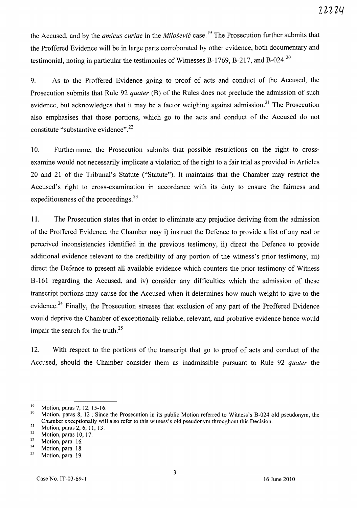the Accused, and by the *amicus curiae* in the *Milosevic* case. <sup>19</sup>The Prosecution further submits that the Proffered Evidence will be in large parts corroborated by other evidence, both documentary and testimonial, noting in particular the testimonies of Witnesses B-1769, B-217, and B-024.<sup>20</sup>

9. As to the Proffered Evidence going to proof of acts and conduct of the Accused, the Prosecution submits that Rule 92 *quater* (B) of the Rules does not preclude the admission of such evidence, but acknowledges that it may be a factor weighing against admission.<sup>21</sup> The Prosecution also emphasises that those portions, which go to the acts and conduct of the Accused do not constitute "substantive evidence".22

1 O. Furthermore, the Prosecution submits that possible restrictions on the right to crossexamine would not necessarily implicate a violation of the right to a fair trial as provided in Articles 20 and 21 of the Tribunal's Statute ("Statute"). It maintains that the Chamber may restrict the Accused's right to cross-examination in accordance with its duty to ensure the fairness and expeditiousness of the proceedings.<sup>23</sup>

11. The Prosecution states that in order to eliminate any prejudice deriving from the admission of the Proffered Evidence, the Chamber may i) instruct the Defence to provide a list of any real or perceived inconsistencies identified in the previous testimony, ii) direct the Defence to provide additional evidence relevant to the credibility of any portion of the witness's prior testimony, iii) direct the Defence to present all available evidence which counters the prior testimony of Witness B-161 regarding the Accused, and iv) consider any difficulties which the admission of these transcript portions may cause for the Accused when it determines how much weight to give to the evidence.<sup>24</sup> Finally, the Prosecution stresses that exclusion of any part of the Proffered Evidence would deprive the Chamber of exceptionally reliable, relevant, and probative evidence hence would impair the search for the truth.<sup>25</sup>

12. With respect to the portions of the transcript that go to proof of acts and conduct of the Accused, should the Chamber consider them as inadmissible pursuant to Rule 92 *quater* the

<sup>&</sup>lt;sup>19</sup> Motion, paras 7, 12, 15-16.<br> $\frac{20}{100}$  Motion, paras 8, 12, Since

<sup>20</sup> Motion, paras 8, 12 ; Since the Prosecution in its public Motion referred to Witness's B-024 old pseudonym, the Chamber exceptionally will also refer to this witness's old pseudonym throughout this Decision.

<sup>21</sup> Motion, paras 2, 6, 11, 13.

 $\frac{22}{23}$  Motion, paras 10, 17.

 $\frac{23}{24}$  Motion, para. 16.

 $\frac{24}{25}$  Motion, para. 18.

Motion, para. 19.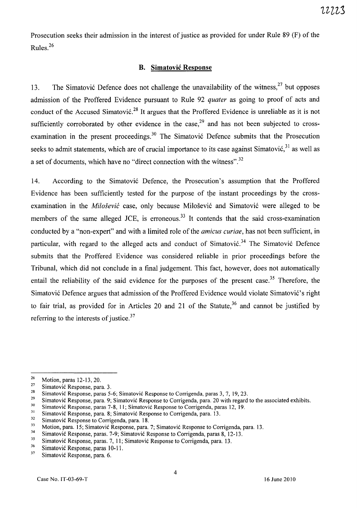Prosecution seeks their admission in the interest of justice as provided for under Rule 89 (F) of the Rules.<sup>26</sup>

### **B. Simatovic Response**

13. The Simatović Defence does not challenge the unavailability of the witness,  $27$  but opposes admission of the Proffered Evidence pursuant to Rule 92 *quater* as going to proof of acts and conduct of the Accused Simatović.<sup>28</sup> It argues that the Proffered Evidence is unreliable as it is not sufficiently corroborated by other evidence in the case,<sup>29</sup> and has not been subjected to crossexamination in the present proceedings.<sup>30</sup> The Simatović Defence submits that the Prosecution seeks to admit statements, which are of crucial importance to its case against Simatović,<sup>31</sup> as well as a set of documents, which have no "direct connection with the witness".<sup>32</sup>

14. According to the Simatović Defence, the Prosecution's assumption that the Proffered Evidence has been sufficiently tested for the purpose of the instant proceedings by the crossexamination in the *Milošević* case, only because Milošević and Simatović were alleged to be members of the same alleged JCE, is erroneous.<sup>33</sup> It contends that the said cross-examination conducted by a "non-expert" and with a limited role of the *amicus curiae,* has not been sufficient, in particular, with regard to the alleged acts and conduct of Simatović.<sup>34</sup> The Simatović Defence submits that the Proffered Evidence was considered reliable in prior proceedings before the Tribunal, which did not conclude in a final judgement. This fact, however, does not automatically entail the reliability of the said evidence for the purposes of the present case.<sup>35</sup> Therefore, the Simatović Defence argues that admission of the Proffered Evidence would violate Simatović's right to fair trial, as provided for in Articles 20 and 21 of the Statute,  $36$  and cannot be justified by referring to the interests of justice.<sup>37</sup>

 $\frac{26}{27}$  Motion, paras 12-13, 20.

<sup>&</sup>lt;sup>27</sup> Simatović Response, para. 3.<br><sup>28</sup> Simatović Beannese paras 5.

<sup>&</sup>lt;sup>28</sup> Simatović Response, paras 5-6; Simatović Response to Corrigenda, paras 3, 7, 19, 23.<br><sup>29</sup> Simatović Response, para 0. Simatović Response to Corrigenda, para 20 with researd

<sup>&</sup>lt;sup>29</sup> Simatović Response, para. 9; Simatović Response to Corrigenda, para. 20 with regard to the associated exhibits.<br><sup>30</sup> Simatović Response, paras. 7, 8, 11: Simatović Response to Corrigenda, paras. 12, 19.

<sup>&</sup>lt;sup>30</sup> Simatović Response, paras 7-8, 11; Simatović Response to Corrigenda, paras 12, 19.<br><sup>31</sup> Simatović Response, para, 8: Simatović Response to Corrigenda, para 13.

<sup>&</sup>lt;sup>31</sup> Simatović Response, para. 8; Simatović Response to Corrigenda, para. 13.<br>Simatović Response to Corrigenda, para. 18.

 $\frac{32}{33}$  Simatović Response to Corrigenda, para. 18.

<sup>33</sup> Motion, para. 15; Simatović Response, para. 7; Simatović Response to Corrigenda, para. 13.<br> $34$  Simatović Response name, 7.0; Simatović Response to Cominanda name 8, 12, 12

<sup>&</sup>lt;sup>34</sup> Simatović Response, paras. 7-9; Simatović Response to Corrigenda, paras 8, 12-13.<br><sup>35</sup> Simatović Response, paras. 7, 11: Simatović Response to Corrigenda, para, 12.

<sup>&</sup>lt;sup>35</sup> Simatović Response, paras. 7, 11; Simatović Response to Corrigenda, para. 13.<br><sup>36</sup> Simatović Response, paras. 10, 11.

<sup>&</sup>lt;sup>36</sup> Simatović Response, paras 10-11.

Simatović Response, para. 6.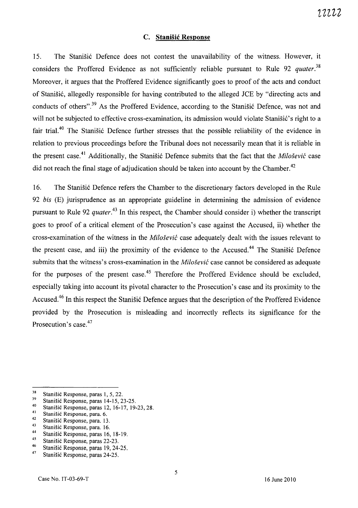### C. **Stanisic Response**

15. The Stanišić Defence does not contest the unavailability of the witness. However, it considers the Proffered Evidence as not sufficiently reliable pursuant to Rule 92 *quater. <sup>38</sup>* Moreover, it argues that the Proffered Evidence significantly goes to proof of the acts and conduct of Stanisi6, allegedly responsible for having contributed to the alleged *lCE* by "directing acts and conducts of others".<sup>39</sup> As the Proffered Evidence, according to the Stanisic Defence, was not and will not be subjected to effective cross-examination, its admission would violate Stanišić's right to a fair trial.<sup>40</sup> The Stanišić Defence further stresses that the possible reliability of the evidence in relation to previous proceedings before the Tribunal does not necessarily mean that it is reliable in the present case.<sup>41</sup> Additionally, the Stanisić Defence submits that the fact that the *Milošević* case did not reach the final stage of adjudication should be taken into account by the Chamber.<sup>42</sup>

16. The Stanisić Defence refers the Chamber to the discretionary factors developed in the Rule *92 bis* (E) jurisprudence as an appropriate guideline in determining the admission of evidence pursuant to Rule 92 *quater.<sup>43</sup>*In this respect, the Chamber should consider i) whether the transcript goes to proof of a critical element of the Prosecution's case against the Accused, ii) whether the cross-examination of the witness in the *Milosevic* case adequately dealt with the issues relevant to the present case, and iii) the proximity of the evidence to the Accused.<sup>44</sup> The Stanisic Defence submits that the witness's cross-examination in the *Milosevic* case cannot be considered as adequate for the purposes of the present case.<sup>45</sup> Therefore the Proffered Evidence should be excluded, especially taking into account its pivotal character to the Prosecution's case and its proximity to the Accused.<sup>46</sup> In this respect the Stanišić Defence argues that the description of the Proffered Evidence provided by the Prosecution is misleading and incorrectly reflects its significance for the Prosecution's case.<sup>47</sup>

- <sup>43</sup> Stanišić Response, para. 16.
- <sup>44</sup> Stanišić Response, paras 16, 18-19.<br><sup>45</sup> Stanišić Response, paras 22, 23.

<sup>46</sup> Stanišić Response, paras 19, 24-25.

<sup>&</sup>lt;sup>38</sup> Stanišić Response, paras 1, 5, 22.<br>Stanišić Response, paras 14-15, 2

 $39$  Stanišić Response, paras 14-15, 23-25.

<sup>&</sup>lt;sup>40</sup> Stanišić Response, paras 12, 16-17, 19-23, 28.

<sup>&</sup>lt;sup>41</sup> Stanišić Response, para. 6.<br><sup>42</sup> Stanišić Response, para. 12

<sup>&</sup>lt;sup>42</sup> Stanišić Response, para. 13.

<sup>&</sup>lt;sup>45</sup> Stanišić Response, paras 22-23.<br><sup>46</sup> Stanišić Response, paras 10.24.

Stanišić Response, paras 24-25.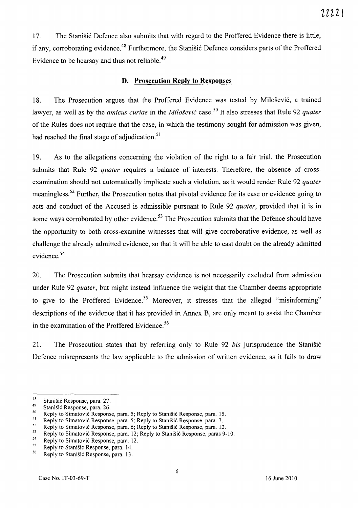17. The Stanišić Defence also submits that with regard to the Proffered Evidence there is little, if any, corroborating evidence.<sup>48</sup> Furthermore, the Stanišić Defence considers parts of the Proffered Evidence to be hearsay and thus not reliable.<sup>49</sup>

### **D. Prosecution Reply to Responses**

18. The Prosecution argues that the Proffered Evidence was tested by Milošević, a trained lawyer, as well as by the *amicus curiae* in the *Milosevic* case. 50 It also stresses that Rule 92 *quater*  of the Rules does not require that the case, in which the testimony sought for admission was given, had reached the final stage of adjudication.<sup>51</sup>

19. As to the allegations concerning the violation of the right to a fair trial, the Prosecution submits that Rule 92 *quater* requires a balance of interests. Therefore, the absence of crossexamination should not automatically implicate such a violation, as it would render Rule 92 *quater*  meaningless. 52 Further, the Prosecution notes that pivotal evidence for its case or evidence going to acts and conduct of the Accused is admissible pursuant to Rule 92 *quater,* provided that it is in some ways corroborated by other evidence.<sup>53</sup> The Prosecution submits that the Defence should have the opportunity to both cross-examine witnesses that will give corroborative evidence, as well as challenge the already admitted evidence, so that it will be able to cast doubt on the already admitted evidence. 54

20. The Prosecution submits that hearsay evidence is not necessarily excluded from admission under Rule 92 *quater,* but might instead influence the weight that the Chamber deems appropriate to give to the Proffered Evidence.<sup>55</sup> Moreover, it stresses that the alleged "misinforming" descriptions of the evidence that it has provided in Annex 8, are only meant to assist the Chamber in the examination of the Proffered Evidence. <sup>56</sup>

21. The Prosecution states that by referring only to Rule 92 *bis* jurisprudence the Stanisi6 Defence misrepresents the law applicable to the admission of written evidence, as it fails to draw

<sup>&</sup>lt;sup>48</sup> Stanišić Response, para. 27.<br><sup>49</sup> Stanišić Response, para. 26.

<sup>&</sup>lt;sup>49</sup> Stanišić Response, para. 26.<br> $^{50}$  Benly to Simptonić Bennets.

<sup>&</sup>lt;sup>50</sup> Reply to Simatovic Response, para. 5; Reply to Stanišic Response, para. 15.<br><sup>51</sup> Reply to Simatovic Response, para. 5; Reply to Stanišic Response, para. 7

<sup>&</sup>lt;sup>51</sup> Reply to Simatović Response, para. 5; Reply to Stanišić Response, para. 7.<br><sup>52</sup> Parkets Simatović Response, para. 6; Reply to Stanišić Response, para. 12

<sup>&</sup>lt;sup>52</sup> Reply to Simatovic Response, para. 6; Reply to Stanišic Response, para. 12.

 $^{53}$  Reply to Simatović Response, para. 12; Reply to Stanišić Response, paras 9-10.

 $^{54}$  Reply to Simatović Response, para. 12.

<sup>&</sup>lt;sup>55</sup> Reply to Stanišić Response, para. 14.<br> $\frac{56}{2}$ . Reply to Stanišić Response, para. 12.

<sup>56</sup> Reply to Stanisic Response, para. 13.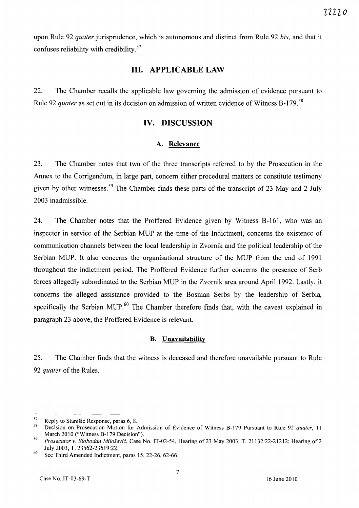upon Rule 92 *quater* jurisprudence, which is autonomous and distinct from Rule 92 *bis,* and that it confuses reliability with credibility. 57

# **Ill. APPLICABLE LAW**

22. The Chamber recalls the applicable law governing the admission of evidence pursuant to Rule 92 *quater* as set out in its decision on admission of written evidence of Witness B-179. 58

# **IV. DISCUSSION**

# **A. Relevance**

23. The Chamber notes that two of the three transcripts referred to by the Prosecution in the Annex to the Corrigendum, in large part, concern either procedural matters or constitute testimony given by other witnesses.<sup>59</sup> The Chamber finds these parts of the transcript of 23 May and 2 July 2003 inadmissible.

24. The Chamber notes that the Proffered Evidence given by Witness B-161, who was an inspector in service of the Serbian MUP at the time of the Indictment, concerns the existence of communication channels between the local leadership in Zvornik and the political leadership of the Serbian MUP. It also concerns the organisational structure of the MUP from the end of 1991 throughout the indictment period. The Proffered Evidence further concerns the presence of Serb forces allegedly subordinated to the Serbian MUP in the Zvornik area around April 1992. Lastly, it concerns the alleged assistance provided to the Bosnian Serbs by the leadership of Serbia, specifically the Serbian MUP.<sup>60</sup> The Chamber therefore finds that, with the caveat explained in paragraph 23 above, the Proffered Evidence is relevant.

#### **B. Unavailability**

25. The Chamber finds that the witness is deceased and therefore unavailable pursuant to Rule *92 quater* of the Rules.

 $57$  Reply to Stanišić Response, paras 6, 8.<br> $58$  Decision on Prosecution Motion for

<sup>58</sup> Decision on Prosecution Motion for Admission of Evidence of Witness 8-179 Pursuant to Rule 92 *quater, 11*  March 2010 ("Witness B-179 Decision").

*<sup>59</sup> Prosecutor* v. *Slobodan Milosevi6,* Case No. IT-02-54, Hearing of23 May 2003, T. 21132:22-21212; Hearing of2 July 2003, T. 23562-23619:22.

 $60$  See Third Amended Indictment, paras 15, 22-26, 62-66.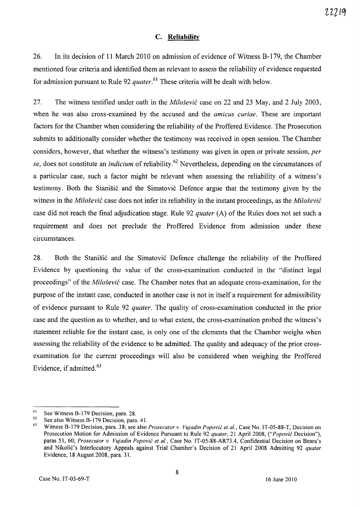### C. **Reliability**

26. In its decision of **11** March 2010 on admission of evidence of Witness B-179, the Chamber mentioned four criteria and identified them as relevant to assess the reliability of evidence requested for admission pursuant to Rule 92 *quater*.<sup>61</sup> These criteria will be dealt with below.

27. The witness testified under oath in the *Milosevic* case on 22 and 23 May, and 2 July 2003, when he was also cross-examined by the accused and the *amicus curiae.* These are important factors for the Chamber when considering the reliability of the Proffered Evidence. The Prosecution submits to additionally consider whether the testimony was received in open session. The Chamber considers, however, that whether the witness's testimony was given in open or private session, *per se,* does not constitute an *indicium* of reliability.62 Nevertheless, depending on the circumstances of a particular case, such a factor might be relevant when assessing the reliability of a witness's testimony. Both the Stanišić and the Simatović Defence argue that the testimony given by the witness in the *Milosevic* case does not infer its reliability in the instant proceedings, as the *Milosevic*  case did not reach the final adjudication stage. Rule 92 *quater* (A) of the Rules does not set such a requirement and does not preclude the Proffered Evidence from admission under these circumstances.

28. Both the Stanisić and the Simatović Defence challenge the reliability of the Proffered Evidence by questioning the value of the cross-examination conducted in the "distinct legal proceedings" of the *Milosevic* case. The Chamber notes that an adequate cross-examination, for the purpose of the instant case, conducted in another case is not in itself a requirement for admissibility of evidence pursuant to Rule 92 *quater.* The quality of cross-examination conducted in the prior case and the question as to whether, and to what extent, the cross-examination probed the witness's statement reliable for the instant case, is only one of the elements that the Chamber weighs when assessing the reliability of the evidence to be admitted. The quality and adequacy of the prior crossexamination for the current proceedings will also be considered when weighing the Proffered Evidence, if admitted. 63

<sup>61</sup>  See Witness B-179 Decision, para. 28.

<sup>62</sup>  See also Witness B-179 Decision, para. 41.

<sup>63</sup>  Witness B-179 Decision, para. 38; see also *Prosecutor* v. *Vujadin Popovic et al.,* Case No. IT-05-88-T, Decision on Prosecution Motion for Admission of Evidence Pursuant to Rule 92 *quater,* 21 April 2008, *("Popovic* Decision"), paras 51, 60; *Prosecutor* v. *Vujadin Popovic et al.,* Case No. IT-05-88-AR73.4, Confidential Decision on Beara's and Nikolic's Interlocutory Appeals against Trial Chamber's Decision of 21 April 2008 Admitting 92 *quater*  Evidence, 18 August 2008, para. 31.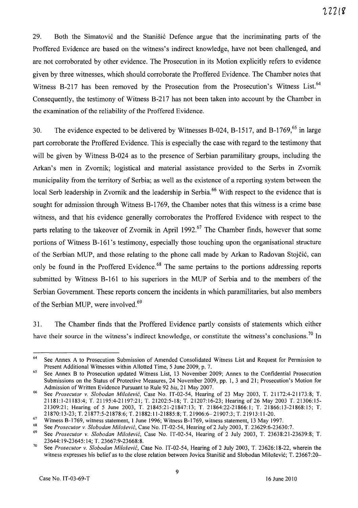29. Both the Simatović and the Stanisić Defence argue that the incriminating parts of the Proffered Evidence are based on the witness's indirect knowledge, have not been challenged, and are not corroborated by other evidence. The Prosecution in its Motion explicitly refers to evidence given by three witnesses, which should corroborate the Proffered Evidence. The Chamber notes that Witness B-217 has been removed by the Prosecution from the Prosecution's Witness List.<sup>64</sup> Consequently, the testimony of Witness B-217 has not been taken into account by the Chamber in the examination of the reliability of the Proffered Evidence.

30. The evidence expected to be delivered by Witnesses B-024, B-1517, and B-1769,<sup>65</sup> in large part corroborate the Proffered Evidence. This is especially the case with regard to the testimony that will be given by Witness B-024 as to the presence of Serbian paramilitary groups, including the Arkan's men in Zvornik; logistical and material assistance provided to the Serbs in Zvornik municipality from the territory of Serbia; as well as the existence of a reporting system between the local Serb leadership in Zvornik and the leadership in Serbia.<sup>66</sup> With respect to the evidence that is sought for admission through Witness B-1769, the Chamber notes that this witness is a crime base witness, and that his evidence generally corroborates the Proffered Evidence with respect to the parts relating to the takeover of Zvornik in April 1992.<sup>67</sup> The Chamber finds, however that some portions of Witness B-161's testimony, especially those touching upon the organisational structure of the Serbian MUP, and those relating to the phone call made by Arkan to Radovan Stojčić, can only be found in the Proffered Evidence.<sup>68</sup> The same pertains to the portions addressing reports submitted by Witness B-161 to his superiors in the MUP of Serbia and to the members of the Serbian Government. These reports concern the incidents in which paramilitaries, but also members of the Serbian MUP, were involved.<sup>69</sup>

31. The Chamber finds that the Proffered Evidence partly consists of statements which either have their source in the witness's indirect knowledge, or constitute the witness's conclusions.<sup>70</sup> In

<sup>&</sup>lt;sup>64</sup> See Annex A to Prosecution Submission of Amended Consolidated Witness List and Request for Permission to Present Additional Witnesses within Allotted Time, 5 June 2009, p. 7.

<sup>&</sup>lt;sup>65</sup> See Annex B to Prosecution updated Witness List, 13 November 2009; Annex to the Confidential Prosecution Submissions on the Status of Protective Measures, 24 November 2009, pp. 1,3 and 21; Prosecution's Motion for Admission of Written Evidence Pursuant to Rule 92 *bis,* 21 May 2007.

<sup>66</sup> See *Prosecutor* v. *Slobodan Milosevic,* Case No. IT-02-54, Hearing of 23 May 2003, T. 21172:4-21173:8; T. 21181:1-21183:4; T. 21195:4-21197:21; T. 21202:5-18; T. 21207:16-23; Hearing of 26 May 2003 T. 21306:15- 21309:21; Hearing of 5 June 2003, T. 21845:21-21847:13; T. 21864:22-21866:1; T. 21866:13-21868:15; T. 21870:13-23; T. 21877:5-21878:6; T. 21882:11-21885:8; T. 21906:6-21907:3; T. 21913:11-20.

<sup>&</sup>lt;sup>67</sup> Witness B-1769, witness statement, 1 June 1996; Witness B-1769, witness statement, 13 May 1997.

<sup>68</sup> See *Prosecutor* v. *Slobodan Milosevic,* Case No. IT-02-54, Hearing of2 July 2003, T. 23629:6-23630:7.

<sup>69</sup> See *Prosecutor* v. *Slobodan Milosevi6,* Case No. IT-02-54, Hearing of 2 July 2003, T. 23638:21-23639:8; T. 23644: 19-23645: 14; T. 23667:9-23668:8.

<sup>70</sup> See *Prosecutor* v. *Slobodan Milosevi6,* Case No. IT-02-54, Hearing of 2 July 2003, T. 23626: 18-22, wherein the witness expresses his belief as to the close relation between Jovica Stanišič and Slobodan Milošević; T. 23667:20-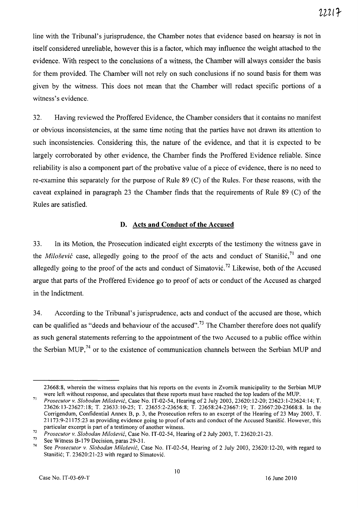line with the Tribunal's jurisprudence, the Chamber notes that evidence based on hearsay is not in itself considered unreliable, however this is a factor, which may influence the weight attached to the evidence. With respect to the conclusions of a witness, the Chamber will always consider the basis for them provided. The Chamber will not rely on such conclusions if no sound basis for them was given by the witness. This does not mean that the Chamber will redact specific portions of a witness's evidence.

32. Having reviewed the Proffered Evidence, the Chamber considers that it contains no manifest or obvious inconsistencies, at the same time noting that the parties have not drawn its attention to such inconsistencies. Considering this, the nature of the evidence, and that it is expected to be largely corroborated by other evidence, the Chamber finds the Proffered Evidence reliable. Since reliability is also a component part of the probative value of a piece of evidence, there is no need to re-examine this separately for the purpose of Rule 89 (C) of the Rules. For these reasons, with the caveat explained in paragraph 23 the Chamber finds that the requirements of Rule 89 (C) of the Rules are satisfied.

### **D. Acts and Conduct of the Accused**

33. In its Motion, the Prosecution indicated eight excerpts of the testimony the witness gave in the *Milošević* case, allegedly going to the proof of the acts and conduct of Stanišić,<sup>71</sup> and one allegedly going to the proof of the acts and conduct of Simatović.<sup>72</sup> Likewise, both of the Accused argue that parts of the Proffered Evidence go to proof of acts or conduct of the Accused as charged in the Indictment.

34. According to the Tribunal's jurisprudence, acts and conduct of the accused are those, which can be qualified as "deeds and behaviour of the accused".<sup>73</sup> The Chamber therefore does not qualify as such general statements referring to the appointment of the two Accused to a public office within the Serbian MUP,<sup>74</sup> or to the existence of communication channels between the Serbian MUP and

<sup>23668:8,</sup> wherein the witness explains that his reports on the events in Zvornik municipality to the Serbian MUP were left without response, and speculates that these reports must have reached the top leaders of the MUP.

<sup>71</sup>*Prosecutor v. Slobodan Milosevic,* Case No. IT-02-54, Hearing of2 July 2003, 23620:12-20; 23623:1-23624:14; T. 23626: 13-23627: 18; T. 23633: 10-25; T. 23655:2-23656:8; T. 23658:24-23667: 19; T. 23667:20-23668:8. In the Corrigendum, Confidential Annex B, p. 3, the Prosecution refers to an excerpt of the Hearing of 23 May 2003, T. 21173:9-21175:23 as providing evidence going to proof of acts and conduct of the Accused Stangic. However, this particular excerpt is part of a testimony of another witness.

*<sup>72</sup> Prosecutor v. Slobodan Milosevi6,* Case No. IT-02-54, Hearing of2 July 2003, T. 23620:21-23.

<sup>&</sup>lt;sup>73</sup> See Witness B-179 Decision, paras 29-31.<br><sup>74</sup> See *Buseasutan v. Slabadau Milašani*a Co

<sup>74</sup> See *Prosecutor v. Slobodan Milosevi6,* Case No. IT -02-54, Hearing of 2 July 2003, 23620: 12-20, with regard to Stanišić; T. 23620:21-23 with regard to Simatović.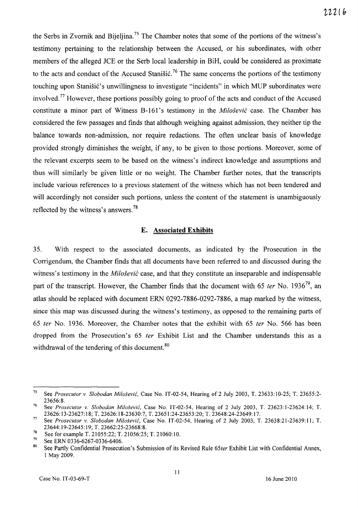the Serbs in Zvornik and Bijeljina.<sup>75</sup> The Chamber notes that some of the portions of the witness's testimony pertaining to the relationship between the Accused, or his subordinates, with other members of the alleged *lCE* or the Serb local leadership in BiH, could be considered as proximate to the acts and conduct of the Accused Stanisic.<sup>76</sup> The same concerns the portions of the testimony touching upon Stanišić's unwillingness to investigate "incidents" in which MUP subordinates were involved. 77 However, these portions possibly going to proof of the acts and conduct of the Accused constitute a minor part of Witness B-161's testimony in the *Milošević* case. The Chamber has considered the few passages and finds that although weighing against admission, they neither tip the balance towards non-admission, nor require redactions. The often unclear basis of knowledge provided strongly diminishes the weight, if any, to be given to those portions. Moreover, some of the relevant excerpts seem to be based on the witness's indirect knowledge and assumptions and thus will similarly be given little or no weight. The Chamber further notes, that the transcripts include various references to a previous statement of the witness which has not been tendered and will accordingly not consider such portions, unless the content of the statement is unambiguously reflected by the witness's answers. 78

#### **E. Associated Exhibits**

35. With respect to the associated documents, as indicated by the Prosecution in the Corrigendum, the Chamber finds that all documents have been referred to and discussed during the witness's testimony in the *Milosevic* case, and that they constitute an inseparable and indispensable part of the transcript. However, the Chamber finds that the document with 65 *ter* No. 1936<sup>79</sup>, an atlas should be replaced with document ERN 0292-7886-0292-7886, a map marked by the witness, since this map was discussed during the witness's testimony, as opposed to the remaining parts of *65* fer No. 1936. Moreover, the Chamber notes that the exhibit with 65 fer No. 566 has been dropped from the Prosecution's 65 fer Exhibit List and the Chamber understands this as a withdrawal of the tendering of this document.<sup>80</sup>

<sup>75</sup>See *Prosecutor* v. *Slobodan Milosevic,* Case No. IT-02-54, Hearing of 2 July 2003, T. 23633:10-25; T. 23655:2- 23656:8.

<sup>76</sup> See *Prosecutor* v. *Slobodan Milosevic,* Case No. IT-02-54, Hearing of 2 July 2003, T. 23623:1-23624:14; T. 23626: 13-23627: 18; T. 23626: 18-23630:7, T. 23651:24-23653 :20; T. 23648:24-23649: 17.

<sup>77</sup>See *Prosecutor* v. *Slobodan Milosevic,* Case No. IT-02-54, Hearing of 2 July 2003, T. 23638:21-23639:11; T. 23644: 19-23645: 19; T. 23662:25-23668:8.

<sup>&</sup>lt;sup>78</sup> See for example T. 21055:22; T. 21056:25; T. 21060:10.<br><sup>79</sup> See FDN 0326 6267 0336 6406

 $^{29}$  See ERN 0336-6267-0336-6406.

<sup>80</sup> See Partly Confidential Prosecution's Submission of its Revised Rule *65ter* Exhibit List with Confidential Annex, 1 May 2009.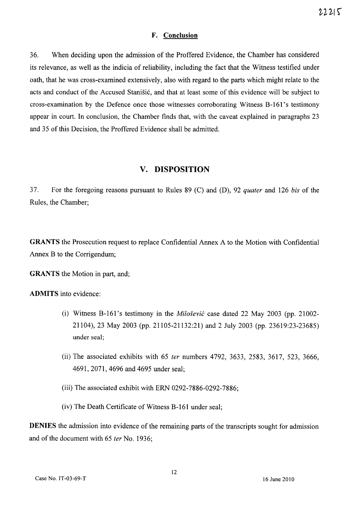#### **F. Conclusion**

36. When deciding upon the admission of the Proffered Evidence, the Chamber has considered its relevance, as well as the indicia of reliability, including the fact that the Witness testified under oath, that he was cross-examined extensively, also with regard to the parts which might relate to the acts and conduct of the Accused Stanisic, and that at least some of this evidence will be subject to cross-examination by the Defence once those witnesses corroborating Witness B-161's testimony appear in court. In conclusion, the Chamber finds that, with the caveat explained in paragraphs 23 and 35 of this Decision, the Proffered Evidence shall be admitted.

### **V. DISPOSITION**

37. For the foregoing reasons pursuant to Rules 89 (C) and (D), 92 quater and 126 bis of the Rules, the Chamber;

**GRANTS** the Prosecution request to replace Confidential Annex A to the Motion with Confidential Annex B to the Corrigendum;

**GRANTS** the Motion in part, and;

**ADMITS** into evidence:

- (i) Witness B-161' s testimony in the *Milosevic* case dated 22 May 2003 (pp. 21002- 21104),23 May 2003 (pp. 21105-21132:21) and 2 July 2003 (pp. 23619:23-23685) under seal;
- (ii) The associated exhibits with 65 fer numbers 4792, 3633, 2583, 3617, 523, 3666, 4691,2071,4696 and 4695 under seal;
- (iii) The associated exhibit with ERN 0292-7886-0292-7886;
- (iv) The Death Certificate of Witness B-161 under seal;

**DENIES** the admission into evidence of the remaining parts of the transcripts sought for admission and of the document with 65 fer No. 1936;